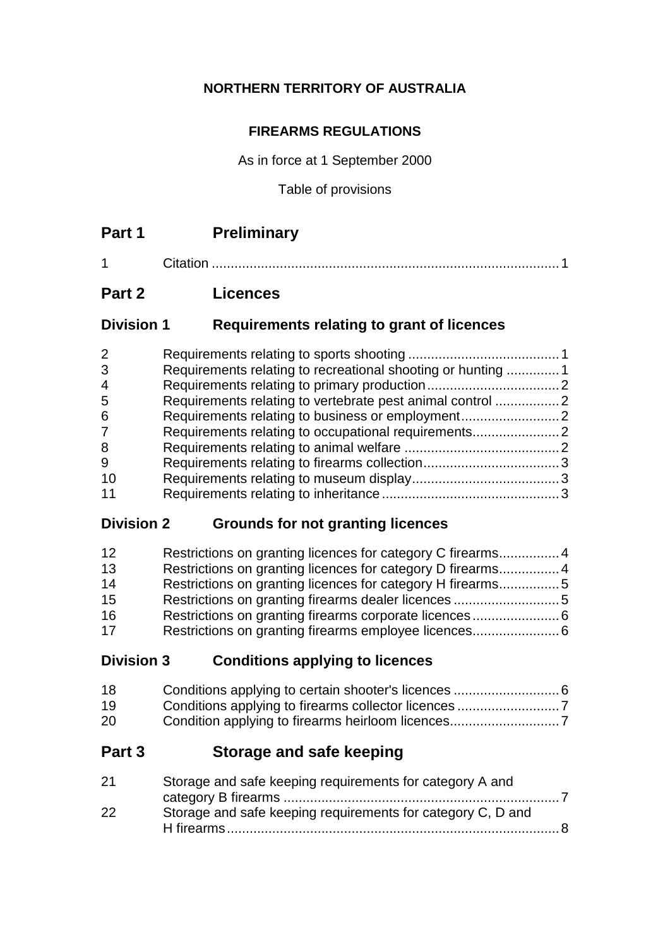# **NORTHERN TERRITORY OF AUSTRALIA**

### **FIREARMS REGULATIONS**

As in force at 1 September 2000

Table of provisions

1 Citation ............................................................................................1

# **Part 2 Licences**

### **Division 1 Requirements relating to grant of licences**

| $\overline{2}$ |                                                             |  |
|----------------|-------------------------------------------------------------|--|
| 3              | Requirements relating to recreational shooting or hunting 1 |  |
| 4              |                                                             |  |
| 5              |                                                             |  |
| 6              |                                                             |  |
| 7              |                                                             |  |
| 8              |                                                             |  |
| 9              |                                                             |  |
| 10             |                                                             |  |
| 11             |                                                             |  |

# **Division 2 Grounds for not granting licences**

| 12 | Restrictions on granting licences for category C firearms4 |  |
|----|------------------------------------------------------------|--|
| 13 |                                                            |  |
| 14 | Restrictions on granting licences for category H firearms5 |  |
| 15 |                                                            |  |
| 16 |                                                            |  |
| 17 |                                                            |  |

# **Division 3 Conditions applying to licences**

| 18 |  |
|----|--|
| 19 |  |
| 20 |  |

# **Part 3 Storage and safe keeping**

| 21 | Storage and safe keeping requirements for category A and    |  |
|----|-------------------------------------------------------------|--|
|    |                                                             |  |
| 22 | Storage and safe keeping requirements for category C, D and |  |
|    |                                                             |  |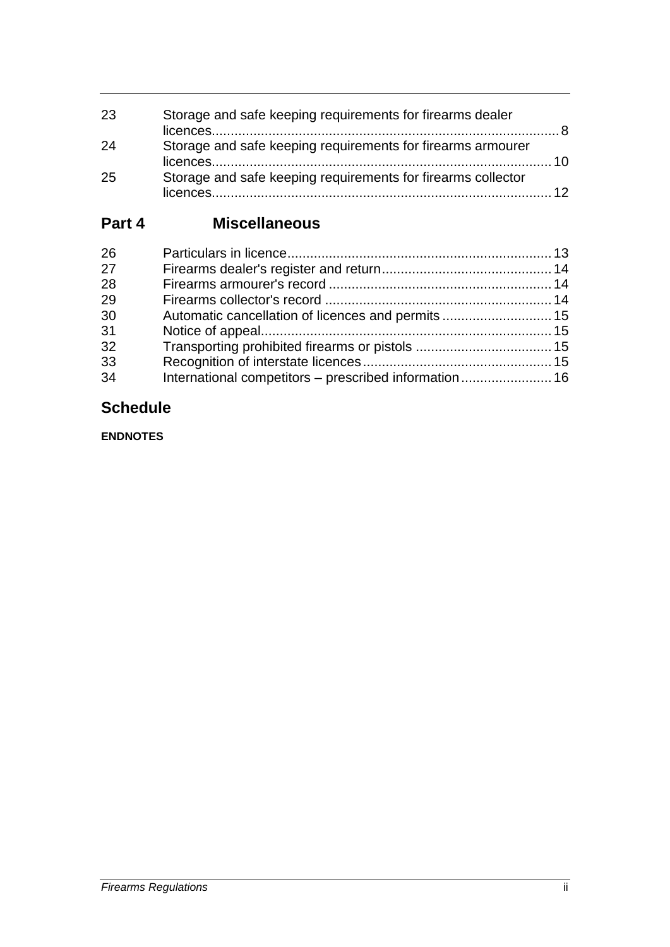| 23 | Storage and safe keeping requirements for firearms dealer    |  |
|----|--------------------------------------------------------------|--|
| 24 | Storage and safe keeping requirements for firearms armourer  |  |
| 25 | Storage and safe keeping requirements for firearms collector |  |

# **Part 4 Miscellaneous**

| 26 |  |
|----|--|
| 27 |  |
| 28 |  |
| 29 |  |
| 30 |  |
| 31 |  |
| 32 |  |
| 33 |  |
| 34 |  |
|    |  |

# **Schedule**

**ENDNOTES**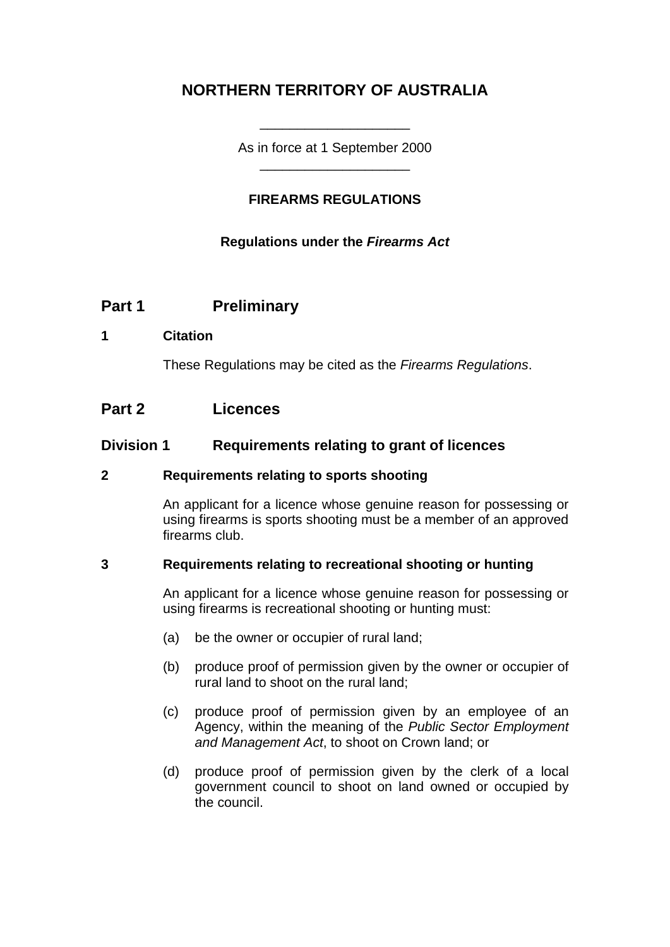# **NORTHERN TERRITORY OF AUSTRALIA**

As in force at 1 September 2000 \_\_\_\_\_\_\_\_\_\_\_\_\_\_\_\_\_\_\_\_

\_\_\_\_\_\_\_\_\_\_\_\_\_\_\_\_\_\_\_\_

### **FIREARMS REGULATIONS**

#### **Regulations under the** *Firearms Act*

### **Part 1 Preliminary**

#### **1 Citation**

These Regulations may be cited as the *Firearms Regulations*.

### **Part 2 Licences**

#### **Division 1 Requirements relating to grant of licences**

#### **2 Requirements relating to sports shooting**

An applicant for a licence whose genuine reason for possessing or using firearms is sports shooting must be a member of an approved firearms club.

#### **3 Requirements relating to recreational shooting or hunting**

An applicant for a licence whose genuine reason for possessing or using firearms is recreational shooting or hunting must:

- (a) be the owner or occupier of rural land;
- (b) produce proof of permission given by the owner or occupier of rural land to shoot on the rural land;
- (c) produce proof of permission given by an employee of an Agency, within the meaning of the *Public Sector Employment and Management Act*, to shoot on Crown land; or
- (d) produce proof of permission given by the clerk of a local government council to shoot on land owned or occupied by the council.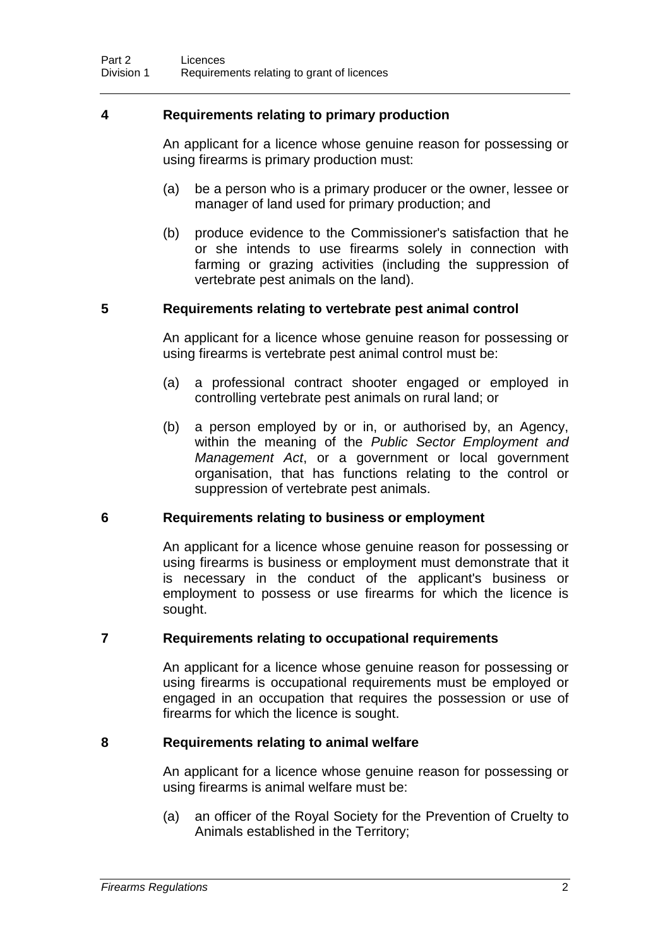#### **4 Requirements relating to primary production**

An applicant for a licence whose genuine reason for possessing or using firearms is primary production must:

- (a) be a person who is a primary producer or the owner, lessee or manager of land used for primary production; and
- (b) produce evidence to the Commissioner's satisfaction that he or she intends to use firearms solely in connection with farming or grazing activities (including the suppression of vertebrate pest animals on the land).

#### **5 Requirements relating to vertebrate pest animal control**

An applicant for a licence whose genuine reason for possessing or using firearms is vertebrate pest animal control must be:

- (a) a professional contract shooter engaged or employed in controlling vertebrate pest animals on rural land; or
- (b) a person employed by or in, or authorised by, an Agency, within the meaning of the *Public Sector Employment and Management Act*, or a government or local government organisation, that has functions relating to the control or suppression of vertebrate pest animals.

#### **6 Requirements relating to business or employment**

An applicant for a licence whose genuine reason for possessing or using firearms is business or employment must demonstrate that it is necessary in the conduct of the applicant's business or employment to possess or use firearms for which the licence is sought.

#### **7 Requirements relating to occupational requirements**

An applicant for a licence whose genuine reason for possessing or using firearms is occupational requirements must be employed or engaged in an occupation that requires the possession or use of firearms for which the licence is sought.

#### **8 Requirements relating to animal welfare**

An applicant for a licence whose genuine reason for possessing or using firearms is animal welfare must be:

(a) an officer of the Royal Society for the Prevention of Cruelty to Animals established in the Territory;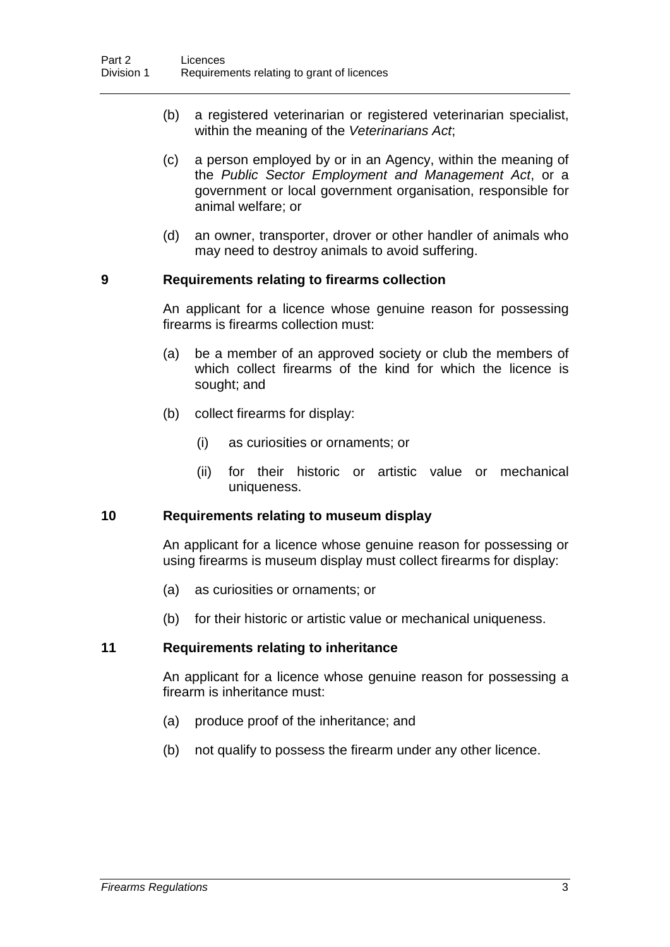- (b) a registered veterinarian or registered veterinarian specialist, within the meaning of the *Veterinarians Act*;
- (c) a person employed by or in an Agency, within the meaning of the *Public Sector Employment and Management Act*, or a government or local government organisation, responsible for animal welfare; or
- (d) an owner, transporter, drover or other handler of animals who may need to destroy animals to avoid suffering.

#### **9 Requirements relating to firearms collection**

An applicant for a licence whose genuine reason for possessing firearms is firearms collection must:

- (a) be a member of an approved society or club the members of which collect firearms of the kind for which the licence is sought; and
- (b) collect firearms for display:
	- (i) as curiosities or ornaments; or
	- (ii) for their historic or artistic value or mechanical uniqueness.

#### **10 Requirements relating to museum display**

An applicant for a licence whose genuine reason for possessing or using firearms is museum display must collect firearms for display:

- (a) as curiosities or ornaments; or
- (b) for their historic or artistic value or mechanical uniqueness.

#### **11 Requirements relating to inheritance**

An applicant for a licence whose genuine reason for possessing a firearm is inheritance must:

- (a) produce proof of the inheritance; and
- (b) not qualify to possess the firearm under any other licence.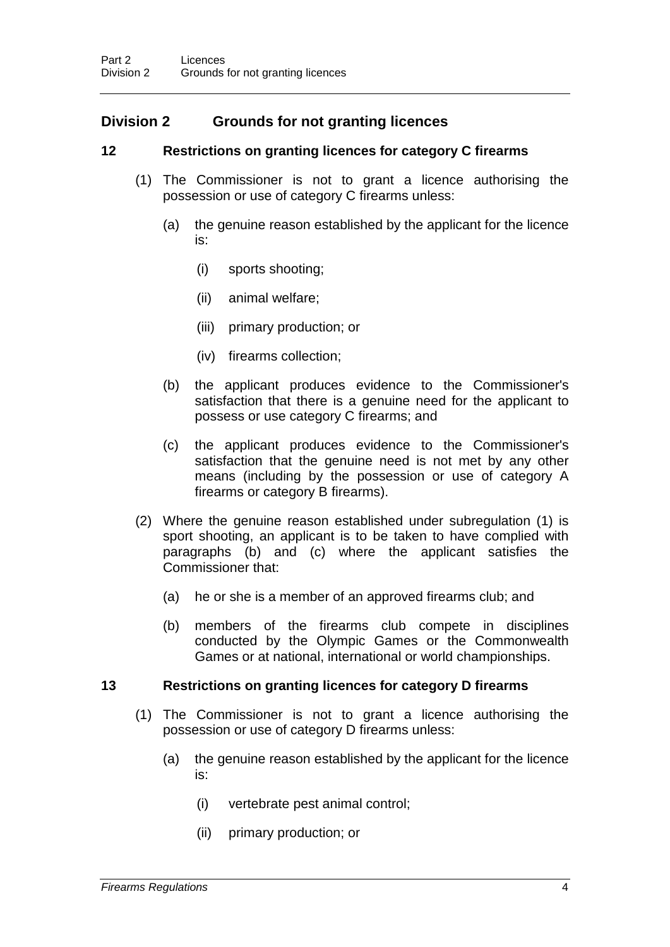# **Division 2 Grounds for not granting licences**

### **12 Restrictions on granting licences for category C firearms**

- (1) The Commissioner is not to grant a licence authorising the possession or use of category C firearms unless:
	- (a) the genuine reason established by the applicant for the licence is:
		- (i) sports shooting;
		- (ii) animal welfare;
		- (iii) primary production; or
		- (iv) firearms collection;
	- (b) the applicant produces evidence to the Commissioner's satisfaction that there is a genuine need for the applicant to possess or use category C firearms; and
	- (c) the applicant produces evidence to the Commissioner's satisfaction that the genuine need is not met by any other means (including by the possession or use of category A firearms or category B firearms).
- (2) Where the genuine reason established under subregulation (1) is sport shooting, an applicant is to be taken to have complied with paragraphs (b) and (c) where the applicant satisfies the Commissioner that:
	- (a) he or she is a member of an approved firearms club; and
	- (b) members of the firearms club compete in disciplines conducted by the Olympic Games or the Commonwealth Games or at national, international or world championships.

#### **13 Restrictions on granting licences for category D firearms**

- (1) The Commissioner is not to grant a licence authorising the possession or use of category D firearms unless:
	- (a) the genuine reason established by the applicant for the licence is:
		- (i) vertebrate pest animal control;
		- (ii) primary production; or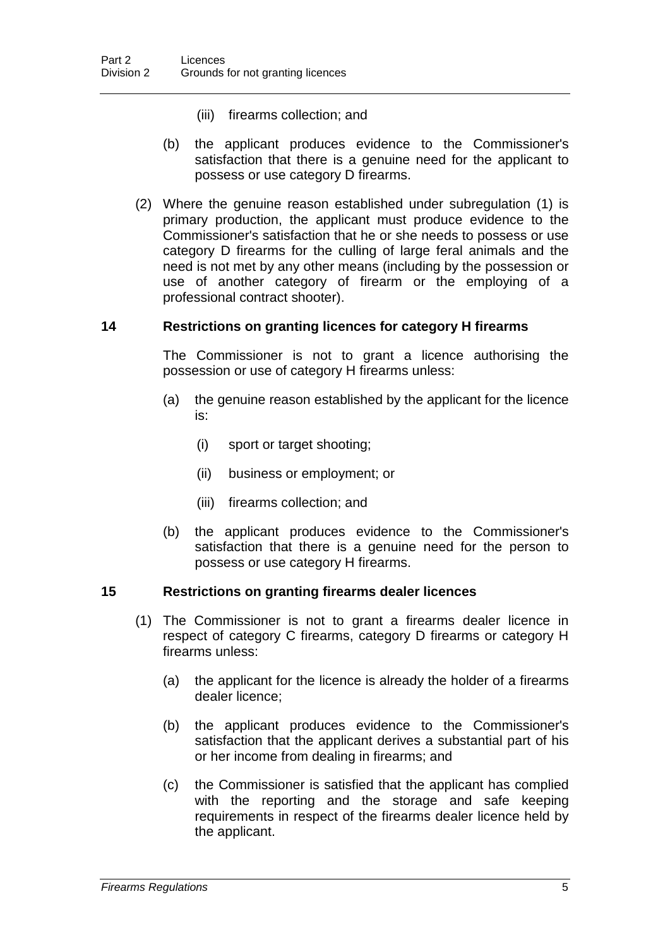- (iii) firearms collection; and
- (b) the applicant produces evidence to the Commissioner's satisfaction that there is a genuine need for the applicant to possess or use category D firearms.
- (2) Where the genuine reason established under subregulation (1) is primary production, the applicant must produce evidence to the Commissioner's satisfaction that he or she needs to possess or use category D firearms for the culling of large feral animals and the need is not met by any other means (including by the possession or use of another category of firearm or the employing of a professional contract shooter).

#### **14 Restrictions on granting licences for category H firearms**

The Commissioner is not to grant a licence authorising the possession or use of category H firearms unless:

- (a) the genuine reason established by the applicant for the licence is:
	- (i) sport or target shooting;
	- (ii) business or employment; or
	- (iii) firearms collection; and
- (b) the applicant produces evidence to the Commissioner's satisfaction that there is a genuine need for the person to possess or use category H firearms.

#### **15 Restrictions on granting firearms dealer licences**

- (1) The Commissioner is not to grant a firearms dealer licence in respect of category C firearms, category D firearms or category H firearms unless:
	- (a) the applicant for the licence is already the holder of a firearms dealer licence;
	- (b) the applicant produces evidence to the Commissioner's satisfaction that the applicant derives a substantial part of his or her income from dealing in firearms; and
	- (c) the Commissioner is satisfied that the applicant has complied with the reporting and the storage and safe keeping requirements in respect of the firearms dealer licence held by the applicant.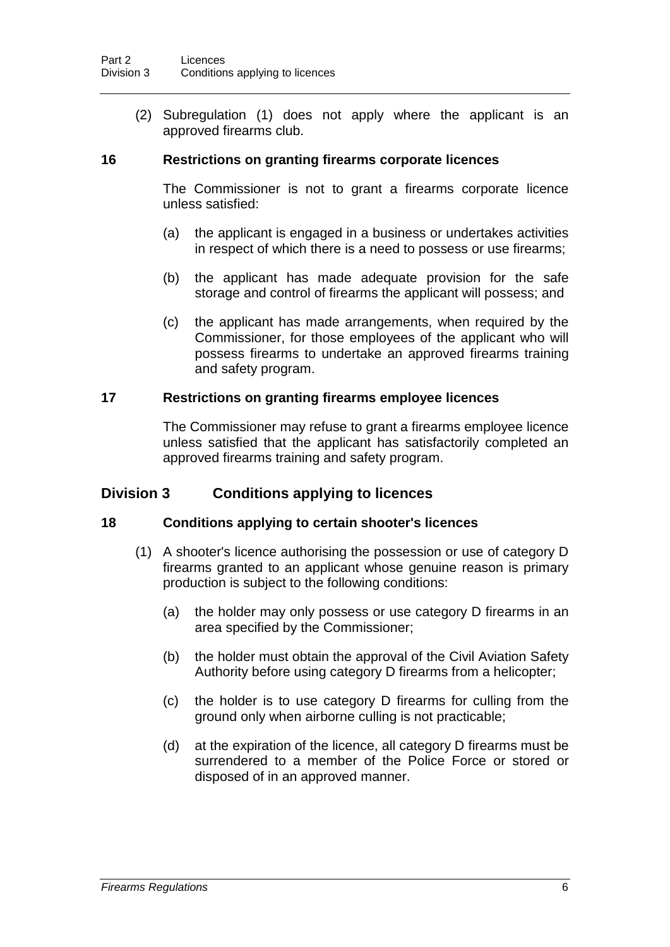(2) Subregulation (1) does not apply where the applicant is an approved firearms club.

#### **16 Restrictions on granting firearms corporate licences**

The Commissioner is not to grant a firearms corporate licence unless satisfied:

- (a) the applicant is engaged in a business or undertakes activities in respect of which there is a need to possess or use firearms;
- (b) the applicant has made adequate provision for the safe storage and control of firearms the applicant will possess; and
- (c) the applicant has made arrangements, when required by the Commissioner, for those employees of the applicant who will possess firearms to undertake an approved firearms training and safety program.

#### **17 Restrictions on granting firearms employee licences**

The Commissioner may refuse to grant a firearms employee licence unless satisfied that the applicant has satisfactorily completed an approved firearms training and safety program.

#### **Division 3 Conditions applying to licences**

#### **18 Conditions applying to certain shooter's licences**

- (1) A shooter's licence authorising the possession or use of category D firearms granted to an applicant whose genuine reason is primary production is subject to the following conditions:
	- (a) the holder may only possess or use category D firearms in an area specified by the Commissioner;
	- (b) the holder must obtain the approval of the Civil Aviation Safety Authority before using category D firearms from a helicopter;
	- (c) the holder is to use category D firearms for culling from the ground only when airborne culling is not practicable;
	- (d) at the expiration of the licence, all category D firearms must be surrendered to a member of the Police Force or stored or disposed of in an approved manner.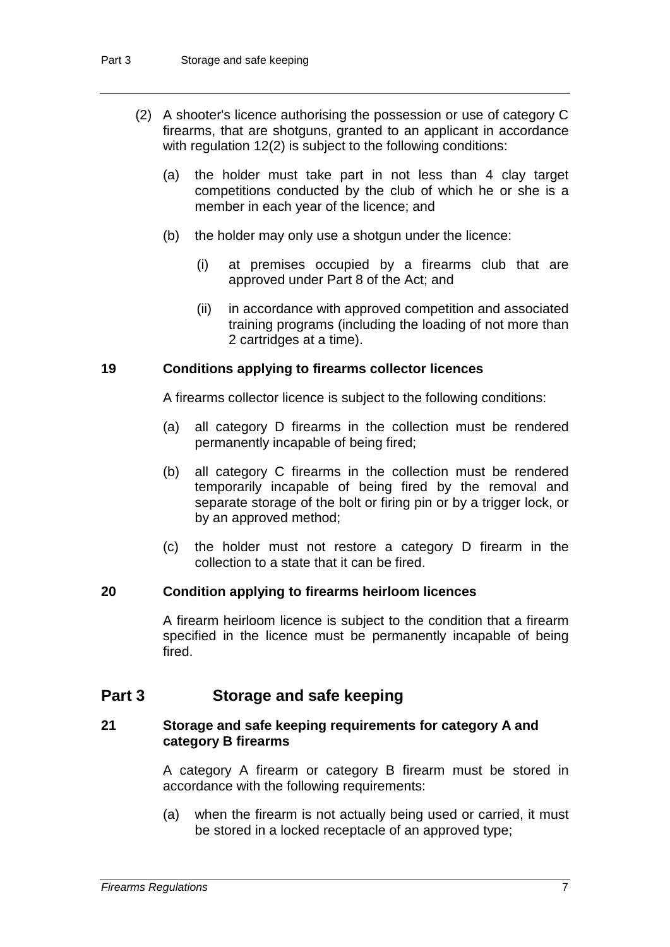- (2) A shooter's licence authorising the possession or use of category C firearms, that are shotguns, granted to an applicant in accordance with regulation 12(2) is subject to the following conditions:
	- (a) the holder must take part in not less than 4 clay target competitions conducted by the club of which he or she is a member in each year of the licence; and
	- (b) the holder may only use a shotgun under the licence:
		- (i) at premises occupied by a firearms club that are approved under Part 8 of the Act; and
		- (ii) in accordance with approved competition and associated training programs (including the loading of not more than 2 cartridges at a time).

#### **19 Conditions applying to firearms collector licences**

A firearms collector licence is subject to the following conditions:

- (a) all category D firearms in the collection must be rendered permanently incapable of being fired;
- (b) all category C firearms in the collection must be rendered temporarily incapable of being fired by the removal and separate storage of the bolt or firing pin or by a trigger lock, or by an approved method;
- (c) the holder must not restore a category D firearm in the collection to a state that it can be fired.

#### **20 Condition applying to firearms heirloom licences**

A firearm heirloom licence is subject to the condition that a firearm specified in the licence must be permanently incapable of being fired.

# **Part 3 Storage and safe keeping**

#### **21 Storage and safe keeping requirements for category A and category B firearms**

A category A firearm or category B firearm must be stored in accordance with the following requirements:

(a) when the firearm is not actually being used or carried, it must be stored in a locked receptacle of an approved type;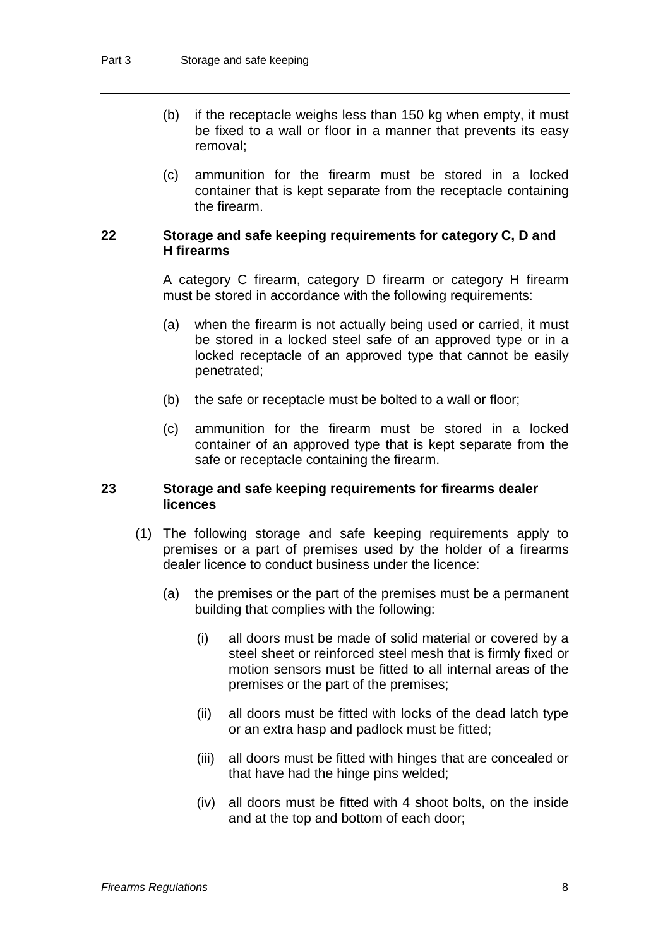- (b) if the receptacle weighs less than 150 kg when empty, it must be fixed to a wall or floor in a manner that prevents its easy removal;
- (c) ammunition for the firearm must be stored in a locked container that is kept separate from the receptacle containing the firearm.

#### **22 Storage and safe keeping requirements for category C, D and H firearms**

A category C firearm, category D firearm or category H firearm must be stored in accordance with the following requirements:

- (a) when the firearm is not actually being used or carried, it must be stored in a locked steel safe of an approved type or in a locked receptacle of an approved type that cannot be easily penetrated;
- (b) the safe or receptacle must be bolted to a wall or floor;
- (c) ammunition for the firearm must be stored in a locked container of an approved type that is kept separate from the safe or receptacle containing the firearm.

#### **23 Storage and safe keeping requirements for firearms dealer licences**

- (1) The following storage and safe keeping requirements apply to premises or a part of premises used by the holder of a firearms dealer licence to conduct business under the licence:
	- (a) the premises or the part of the premises must be a permanent building that complies with the following:
		- (i) all doors must be made of solid material or covered by a steel sheet or reinforced steel mesh that is firmly fixed or motion sensors must be fitted to all internal areas of the premises or the part of the premises;
		- (ii) all doors must be fitted with locks of the dead latch type or an extra hasp and padlock must be fitted;
		- (iii) all doors must be fitted with hinges that are concealed or that have had the hinge pins welded;
		- (iv) all doors must be fitted with 4 shoot bolts, on the inside and at the top and bottom of each door;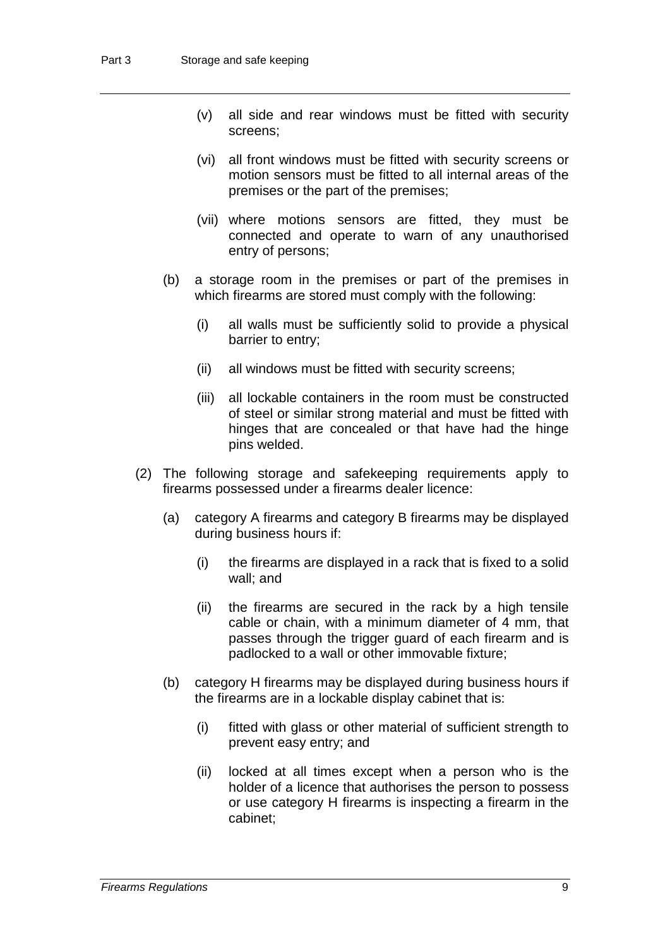- (v) all side and rear windows must be fitted with security screens;
- (vi) all front windows must be fitted with security screens or motion sensors must be fitted to all internal areas of the premises or the part of the premises;
- (vii) where motions sensors are fitted, they must be connected and operate to warn of any unauthorised entry of persons;
- (b) a storage room in the premises or part of the premises in which firearms are stored must comply with the following:
	- (i) all walls must be sufficiently solid to provide a physical barrier to entry;
	- (ii) all windows must be fitted with security screens;
	- (iii) all lockable containers in the room must be constructed of steel or similar strong material and must be fitted with hinges that are concealed or that have had the hinge pins welded.
- (2) The following storage and safekeeping requirements apply to firearms possessed under a firearms dealer licence:
	- (a) category A firearms and category B firearms may be displayed during business hours if:
		- (i) the firearms are displayed in a rack that is fixed to a solid wall; and
		- (ii) the firearms are secured in the rack by a high tensile cable or chain, with a minimum diameter of 4 mm, that passes through the trigger guard of each firearm and is padlocked to a wall or other immovable fixture;
	- (b) category H firearms may be displayed during business hours if the firearms are in a lockable display cabinet that is:
		- (i) fitted with glass or other material of sufficient strength to prevent easy entry; and
		- (ii) locked at all times except when a person who is the holder of a licence that authorises the person to possess or use category H firearms is inspecting a firearm in the cabinet;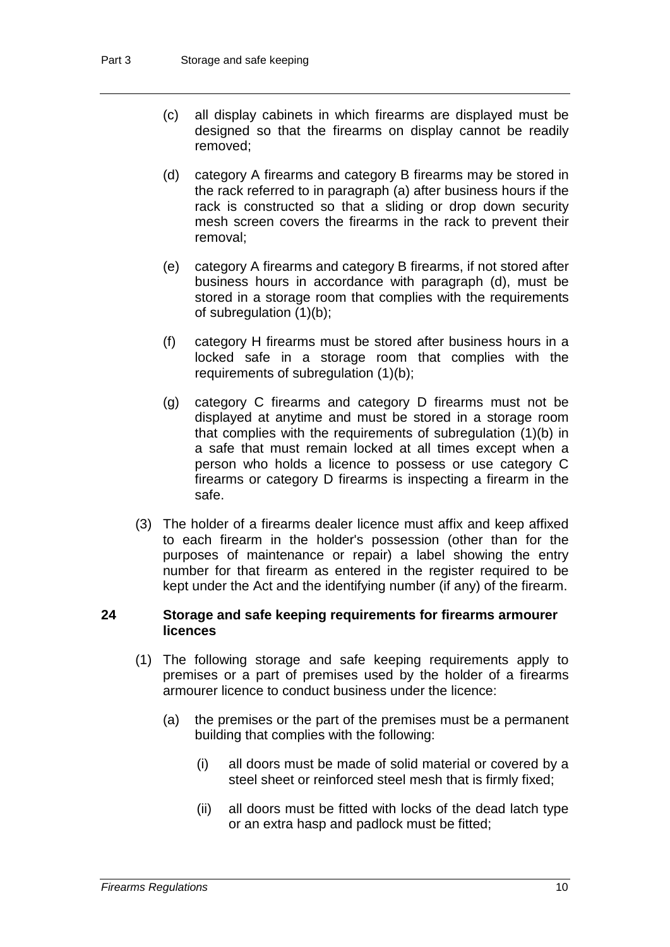- (c) all display cabinets in which firearms are displayed must be designed so that the firearms on display cannot be readily removed;
- (d) category A firearms and category B firearms may be stored in the rack referred to in paragraph (a) after business hours if the rack is constructed so that a sliding or drop down security mesh screen covers the firearms in the rack to prevent their removal;
- (e) category A firearms and category B firearms, if not stored after business hours in accordance with paragraph (d), must be stored in a storage room that complies with the requirements of subregulation (1)(b);
- (f) category H firearms must be stored after business hours in a locked safe in a storage room that complies with the requirements of subregulation (1)(b);
- (g) category C firearms and category D firearms must not be displayed at anytime and must be stored in a storage room that complies with the requirements of subregulation (1)(b) in a safe that must remain locked at all times except when a person who holds a licence to possess or use category C firearms or category D firearms is inspecting a firearm in the safe.
- (3) The holder of a firearms dealer licence must affix and keep affixed to each firearm in the holder's possession (other than for the purposes of maintenance or repair) a label showing the entry number for that firearm as entered in the register required to be kept under the Act and the identifying number (if any) of the firearm.

#### **24 Storage and safe keeping requirements for firearms armourer licences**

- (1) The following storage and safe keeping requirements apply to premises or a part of premises used by the holder of a firearms armourer licence to conduct business under the licence:
	- (a) the premises or the part of the premises must be a permanent building that complies with the following:
		- (i) all doors must be made of solid material or covered by a steel sheet or reinforced steel mesh that is firmly fixed;
		- (ii) all doors must be fitted with locks of the dead latch type or an extra hasp and padlock must be fitted;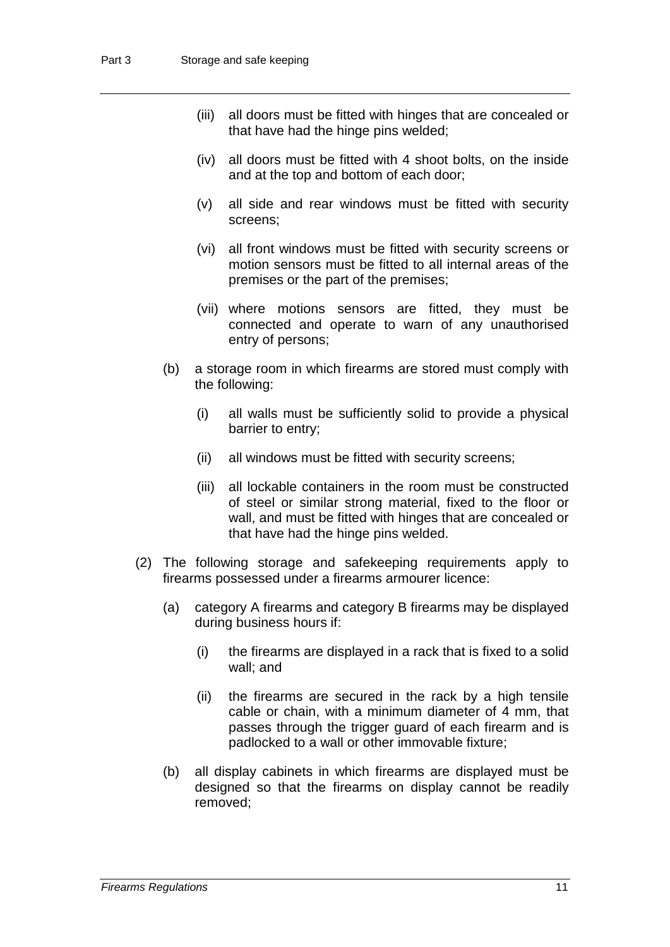- (iii) all doors must be fitted with hinges that are concealed or that have had the hinge pins welded;
- (iv) all doors must be fitted with 4 shoot bolts, on the inside and at the top and bottom of each door;
- (v) all side and rear windows must be fitted with security screens;
- (vi) all front windows must be fitted with security screens or motion sensors must be fitted to all internal areas of the premises or the part of the premises;
- (vii) where motions sensors are fitted, they must be connected and operate to warn of any unauthorised entry of persons;
- (b) a storage room in which firearms are stored must comply with the following:
	- (i) all walls must be sufficiently solid to provide a physical barrier to entry;
	- (ii) all windows must be fitted with security screens;
	- (iii) all lockable containers in the room must be constructed of steel or similar strong material, fixed to the floor or wall, and must be fitted with hinges that are concealed or that have had the hinge pins welded.
- (2) The following storage and safekeeping requirements apply to firearms possessed under a firearms armourer licence:
	- (a) category A firearms and category B firearms may be displayed during business hours if:
		- (i) the firearms are displayed in a rack that is fixed to a solid wall; and
		- (ii) the firearms are secured in the rack by a high tensile cable or chain, with a minimum diameter of 4 mm, that passes through the trigger guard of each firearm and is padlocked to a wall or other immovable fixture;
	- (b) all display cabinets in which firearms are displayed must be designed so that the firearms on display cannot be readily removed;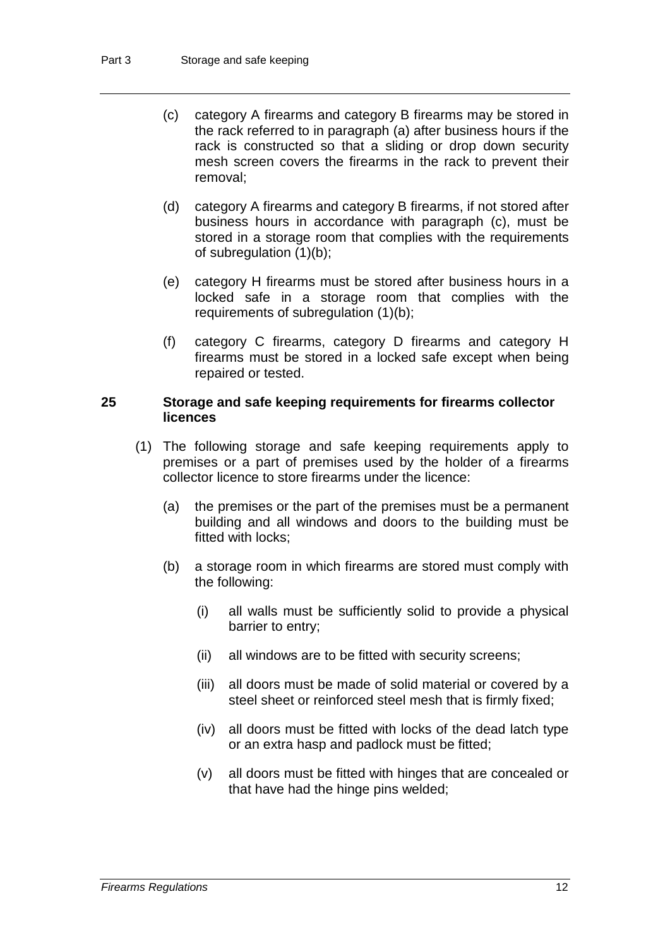- (c) category A firearms and category B firearms may be stored in the rack referred to in paragraph (a) after business hours if the rack is constructed so that a sliding or drop down security mesh screen covers the firearms in the rack to prevent their removal;
- (d) category A firearms and category B firearms, if not stored after business hours in accordance with paragraph (c), must be stored in a storage room that complies with the requirements of subregulation (1)(b);
- (e) category H firearms must be stored after business hours in a locked safe in a storage room that complies with the requirements of subregulation (1)(b);
- (f) category C firearms, category D firearms and category H firearms must be stored in a locked safe except when being repaired or tested.

#### **25 Storage and safe keeping requirements for firearms collector licences**

- (1) The following storage and safe keeping requirements apply to premises or a part of premises used by the holder of a firearms collector licence to store firearms under the licence:
	- (a) the premises or the part of the premises must be a permanent building and all windows and doors to the building must be fitted with locks;
	- (b) a storage room in which firearms are stored must comply with the following:
		- (i) all walls must be sufficiently solid to provide a physical barrier to entry;
		- (ii) all windows are to be fitted with security screens;
		- (iii) all doors must be made of solid material or covered by a steel sheet or reinforced steel mesh that is firmly fixed;
		- (iv) all doors must be fitted with locks of the dead latch type or an extra hasp and padlock must be fitted;
		- (v) all doors must be fitted with hinges that are concealed or that have had the hinge pins welded;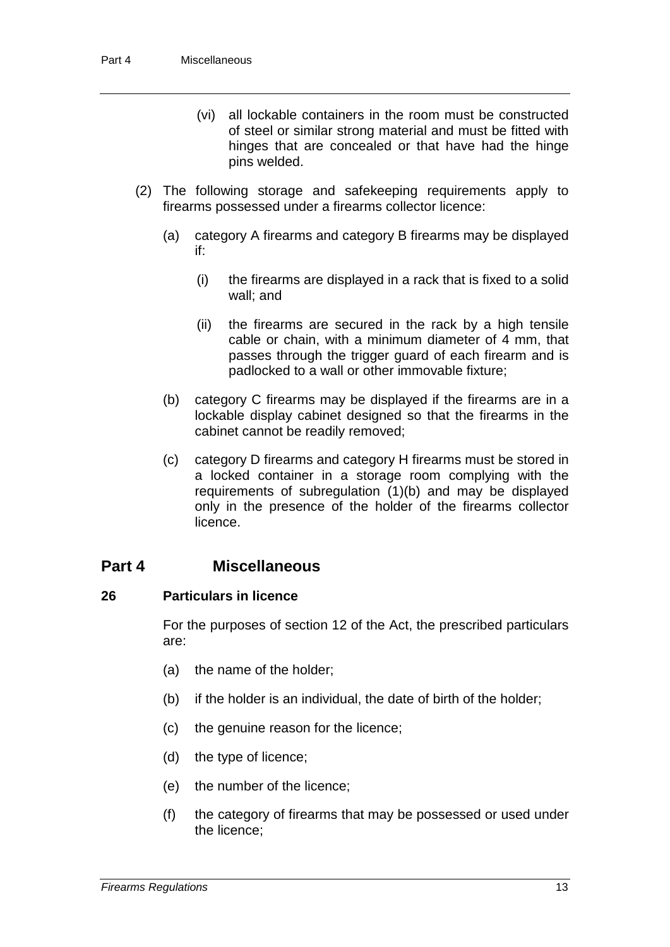- (vi) all lockable containers in the room must be constructed of steel or similar strong material and must be fitted with hinges that are concealed or that have had the hinge pins welded.
- (2) The following storage and safekeeping requirements apply to firearms possessed under a firearms collector licence:
	- (a) category A firearms and category B firearms may be displayed if:
		- (i) the firearms are displayed in a rack that is fixed to a solid wall; and
		- (ii) the firearms are secured in the rack by a high tensile cable or chain, with a minimum diameter of 4 mm, that passes through the trigger guard of each firearm and is padlocked to a wall or other immovable fixture;
	- (b) category C firearms may be displayed if the firearms are in a lockable display cabinet designed so that the firearms in the cabinet cannot be readily removed;
	- (c) category D firearms and category H firearms must be stored in a locked container in a storage room complying with the requirements of subregulation (1)(b) and may be displayed only in the presence of the holder of the firearms collector licence.

### **Part 4 Miscellaneous**

#### **26 Particulars in licence**

For the purposes of section 12 of the Act, the prescribed particulars are:

- (a) the name of the holder;
- (b) if the holder is an individual, the date of birth of the holder;
- (c) the genuine reason for the licence;
- (d) the type of licence;
- (e) the number of the licence;
- (f) the category of firearms that may be possessed or used under the licence;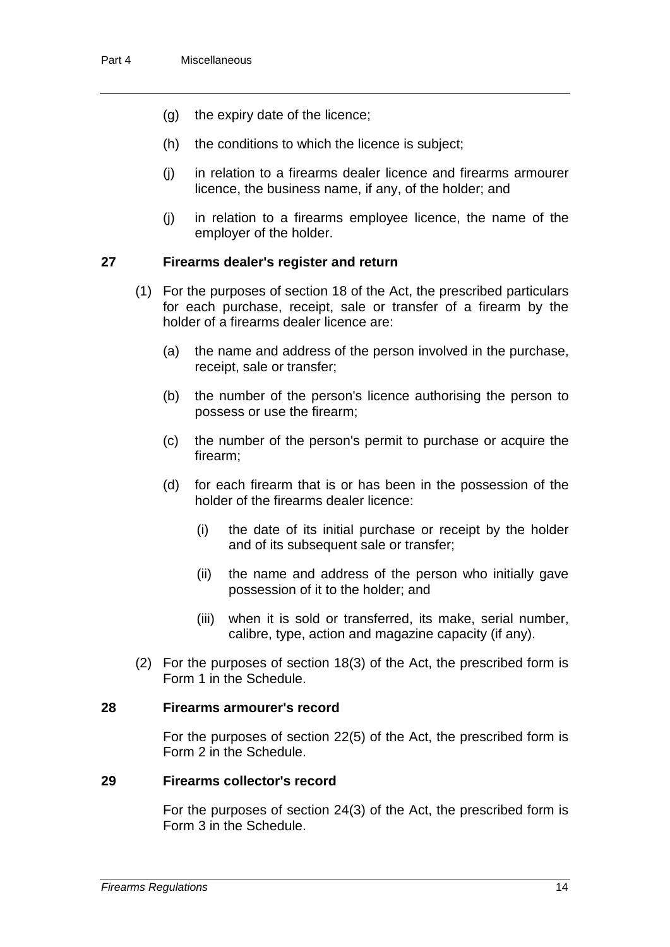- (g) the expiry date of the licence;
- (h) the conditions to which the licence is subject;
- (j) in relation to a firearms dealer licence and firearms armourer licence, the business name, if any, of the holder; and
- (j) in relation to a firearms employee licence, the name of the employer of the holder.

#### **27 Firearms dealer's register and return**

- (1) For the purposes of section 18 of the Act, the prescribed particulars for each purchase, receipt, sale or transfer of a firearm by the holder of a firearms dealer licence are:
	- (a) the name and address of the person involved in the purchase, receipt, sale or transfer;
	- (b) the number of the person's licence authorising the person to possess or use the firearm;
	- (c) the number of the person's permit to purchase or acquire the firearm;
	- (d) for each firearm that is or has been in the possession of the holder of the firearms dealer licence:
		- (i) the date of its initial purchase or receipt by the holder and of its subsequent sale or transfer;
		- (ii) the name and address of the person who initially gave possession of it to the holder; and
		- (iii) when it is sold or transferred, its make, serial number, calibre, type, action and magazine capacity (if any).
- (2) For the purposes of section 18(3) of the Act, the prescribed form is Form 1 in the Schedule.

#### **28 Firearms armourer's record**

For the purposes of section 22(5) of the Act, the prescribed form is Form 2 in the Schedule.

#### **29 Firearms collector's record**

For the purposes of section 24(3) of the Act, the prescribed form is Form 3 in the Schedule.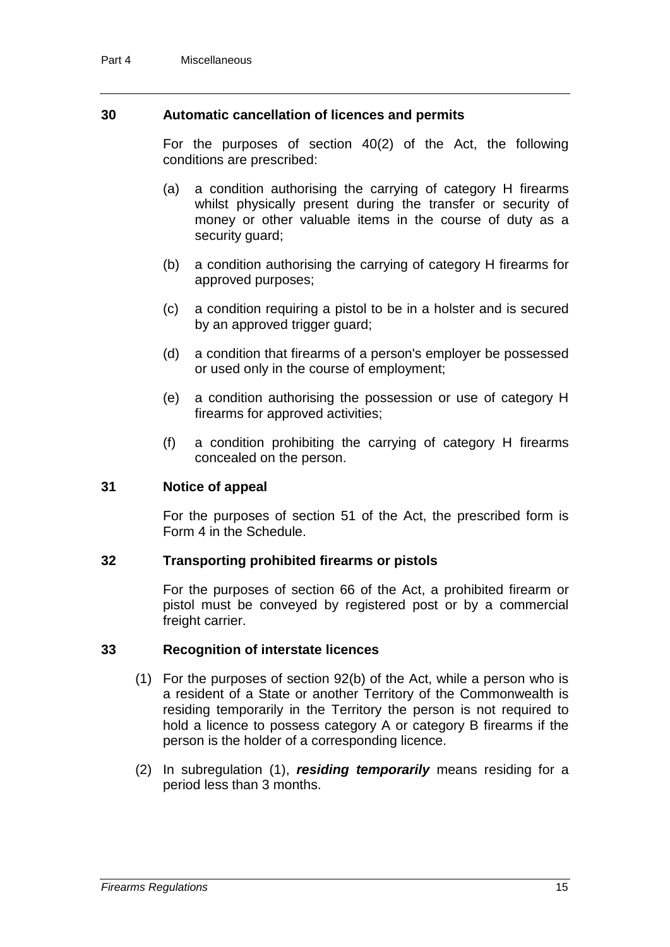#### **30 Automatic cancellation of licences and permits**

For the purposes of section 40(2) of the Act, the following conditions are prescribed:

- (a) a condition authorising the carrying of category H firearms whilst physically present during the transfer or security of money or other valuable items in the course of duty as a security guard;
- (b) a condition authorising the carrying of category H firearms for approved purposes;
- (c) a condition requiring a pistol to be in a holster and is secured by an approved trigger guard;
- (d) a condition that firearms of a person's employer be possessed or used only in the course of employment;
- (e) a condition authorising the possession or use of category H firearms for approved activities;
- (f) a condition prohibiting the carrying of category H firearms concealed on the person.

#### **31 Notice of appeal**

For the purposes of section 51 of the Act, the prescribed form is Form 4 in the Schedule.

#### **32 Transporting prohibited firearms or pistols**

For the purposes of section 66 of the Act, a prohibited firearm or pistol must be conveyed by registered post or by a commercial freight carrier.

#### **33 Recognition of interstate licences**

- (1) For the purposes of section 92(b) of the Act, while a person who is a resident of a State or another Territory of the Commonwealth is residing temporarily in the Territory the person is not required to hold a licence to possess category A or category B firearms if the person is the holder of a corresponding licence.
- (2) In subregulation (1), *residing temporarily* means residing for a period less than 3 months.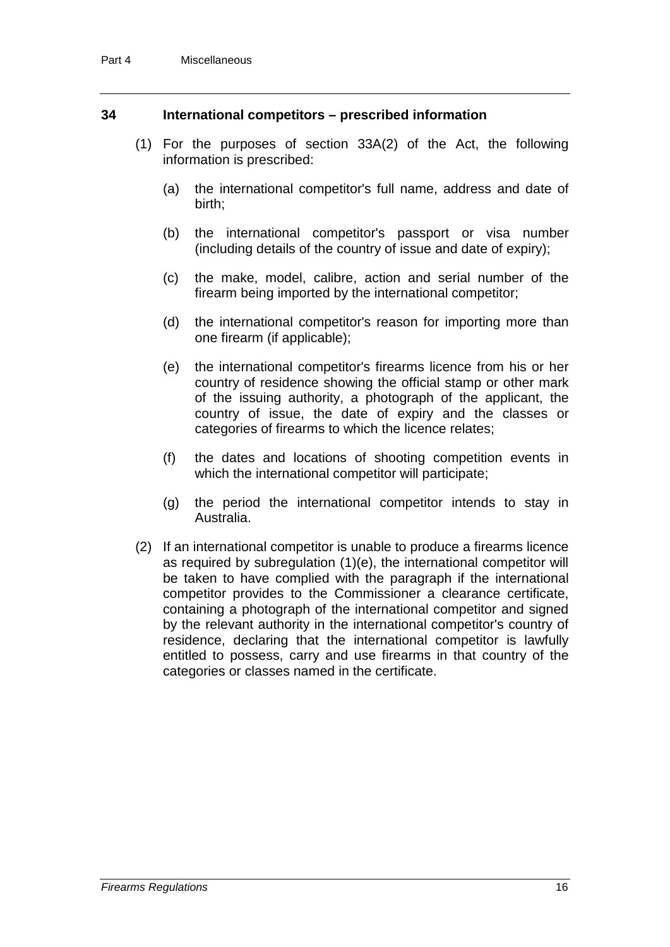#### **34 International competitors – prescribed information**

- (1) For the purposes of section 33A(2) of the Act, the following information is prescribed:
	- (a) the international competitor's full name, address and date of birth;
	- (b) the international competitor's passport or visa number (including details of the country of issue and date of expiry);
	- (c) the make, model, calibre, action and serial number of the firearm being imported by the international competitor;
	- (d) the international competitor's reason for importing more than one firearm (if applicable);
	- (e) the international competitor's firearms licence from his or her country of residence showing the official stamp or other mark of the issuing authority, a photograph of the applicant, the country of issue, the date of expiry and the classes or categories of firearms to which the licence relates;
	- (f) the dates and locations of shooting competition events in which the international competitor will participate;
	- (g) the period the international competitor intends to stay in Australia.
- (2) If an international competitor is unable to produce a firearms licence as required by subregulation (1)(e), the international competitor will be taken to have complied with the paragraph if the international competitor provides to the Commissioner a clearance certificate, containing a photograph of the international competitor and signed by the relevant authority in the international competitor's country of residence, declaring that the international competitor is lawfully entitled to possess, carry and use firearms in that country of the categories or classes named in the certificate.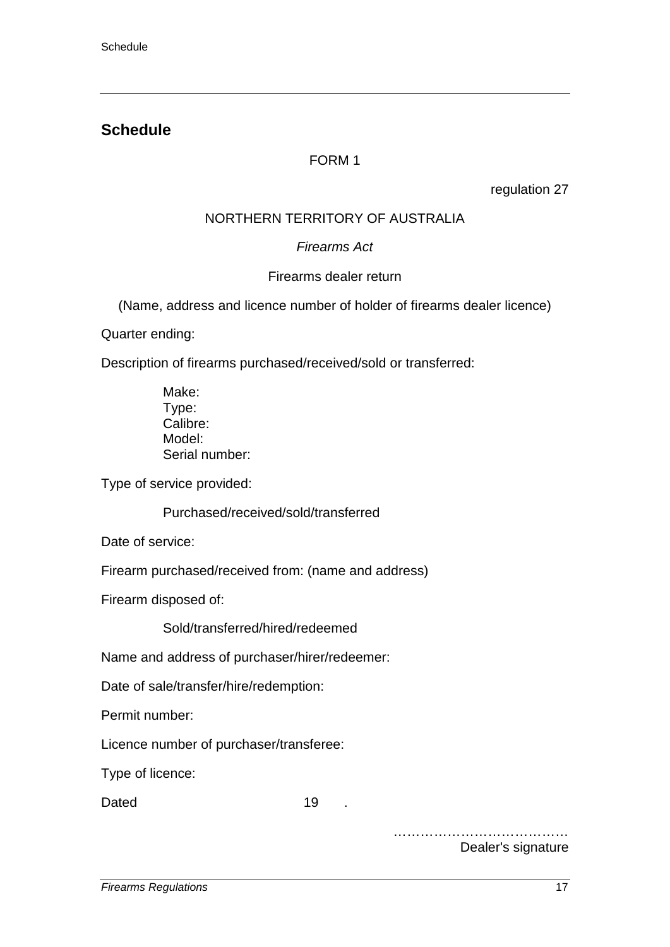# **Schedule**

# FORM 1

regulation 27

# NORTHERN TERRITORY OF AUSTRALIA

# *Firearms Act*

# Firearms dealer return

(Name, address and licence number of holder of firearms dealer licence)

Quarter ending:

Description of firearms purchased/received/sold or transferred:

Make: Type: Calibre: Model: Serial number:

Type of service provided:

Purchased/received/sold/transferred

Date of service:

Firearm purchased/received from: (name and address)

Firearm disposed of:

Sold/transferred/hired/redeemed

Name and address of purchaser/hirer/redeemer:

Date of sale/transfer/hire/redemption:

Permit number:

Licence number of purchaser/transferee:

Type of licence:

Dated 19 .

………………………………… Dealer's signature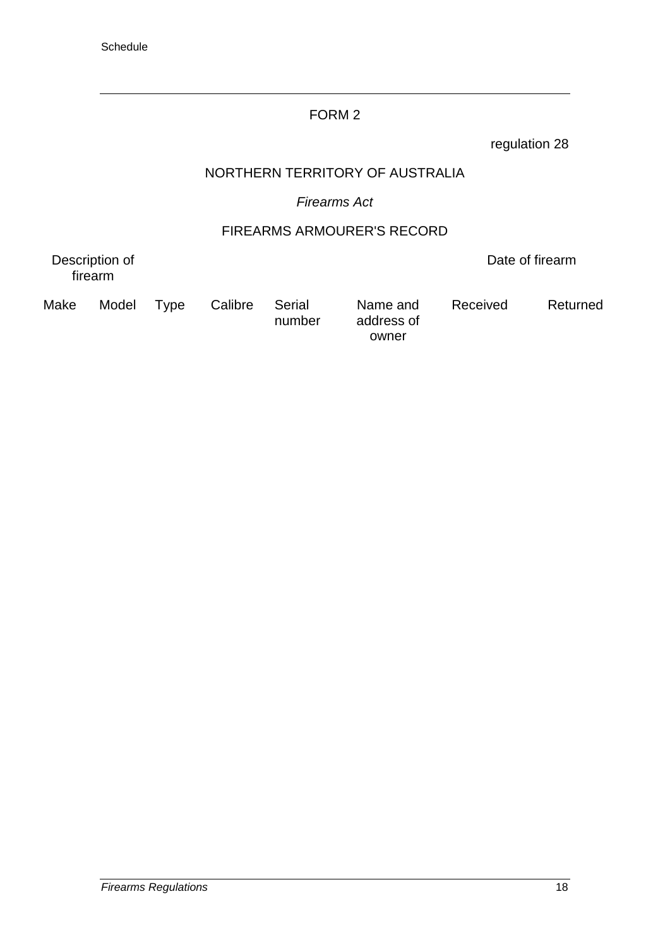### FORM 2

regulation 28

### NORTHERN TERRITORY OF AUSTRALIA

# *Firearms Act*

# FIREARMS ARMOURER'S RECORD

number

Description of firearm

Date of firearm

Make Model Type Calibre Serial

Name and address of owner

Received Returned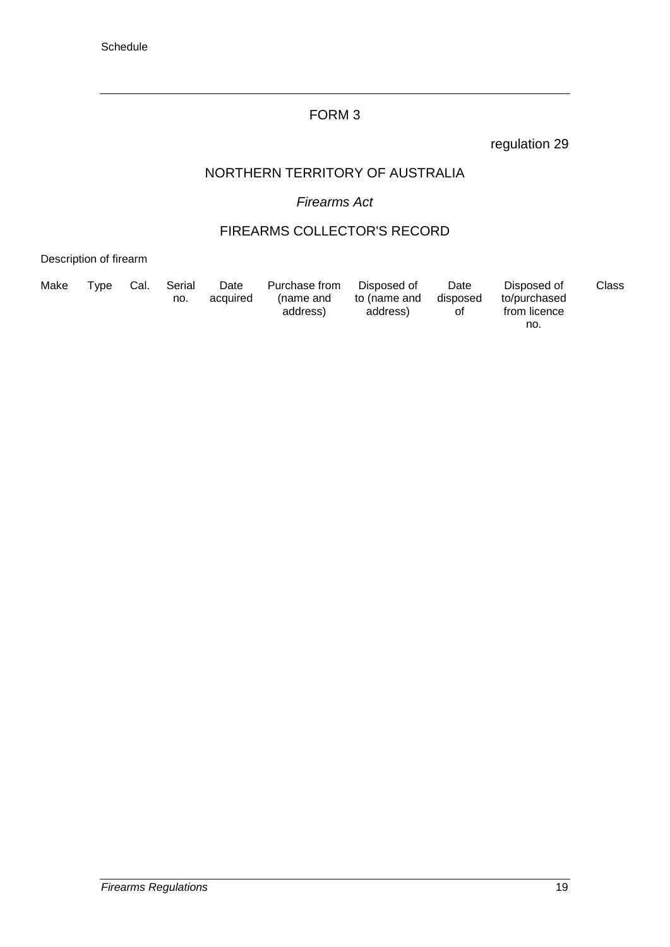### FORM 3

regulation 29

### NORTHERN TERRITORY OF AUSTRALIA

# *Firearms Act*

### FIREARMS COLLECTOR'S RECORD

Description of firearm

| Make | Tvpe | Cal. | Serial<br>no. | Date<br>acquired | Purchase from<br>(name and<br>address) | Disposed of<br>to (name and<br>address) | Date<br>disposed<br>0t | Disposed of<br>to/purchased<br>from licence | Class |
|------|------|------|---------------|------------------|----------------------------------------|-----------------------------------------|------------------------|---------------------------------------------|-------|
|      |      |      |               |                  |                                        |                                         |                        | no.                                         |       |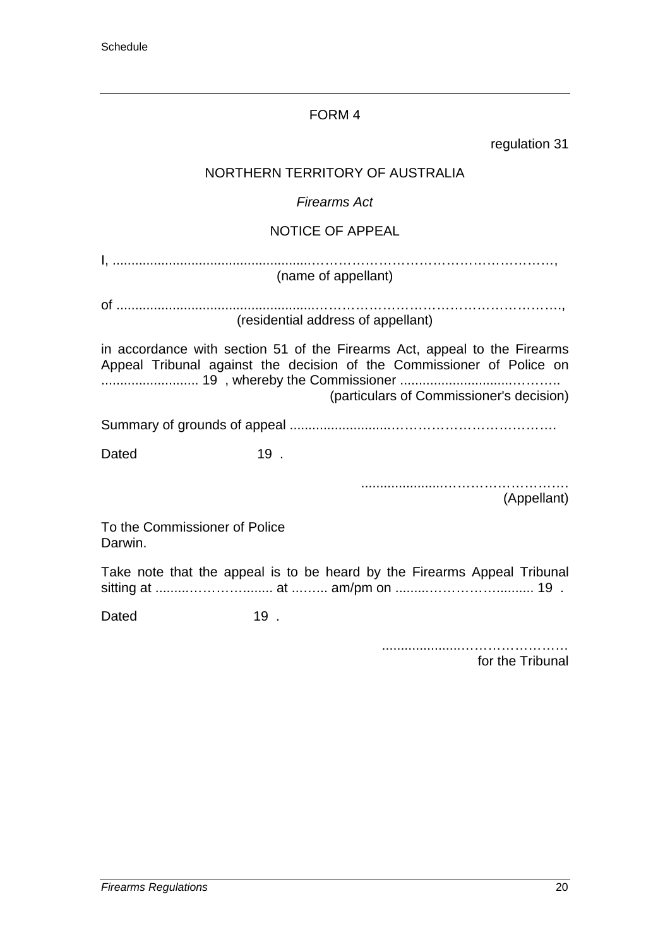# FORM 4

| regulation 31                                                                                                                                                                                  |  |  |
|------------------------------------------------------------------------------------------------------------------------------------------------------------------------------------------------|--|--|
| NORTHERN TERRITORY OF AUSTRALIA                                                                                                                                                                |  |  |
| <b>Firearms Act</b>                                                                                                                                                                            |  |  |
| <b>NOTICE OF APPEAL</b>                                                                                                                                                                        |  |  |
| (name of appellant)                                                                                                                                                                            |  |  |
| (residential address of appellant)                                                                                                                                                             |  |  |
| in accordance with section 51 of the Firearms Act, appeal to the Firearms<br>Appeal Tribunal against the decision of the Commissioner of Police on<br>(particulars of Commissioner's decision) |  |  |
|                                                                                                                                                                                                |  |  |
| $19$ .<br>Dated                                                                                                                                                                                |  |  |
| (Appellant)                                                                                                                                                                                    |  |  |
| To the Commissioner of Police<br>Darwin.                                                                                                                                                       |  |  |
| Take note that the appeal is to be heard by the Firearms Appeal Tribunal                                                                                                                       |  |  |

sitting at .........…………........ at ...…... am/pm on .........…………….......... 19 .

Dated 19.

.....................…………………… for the Tribunal